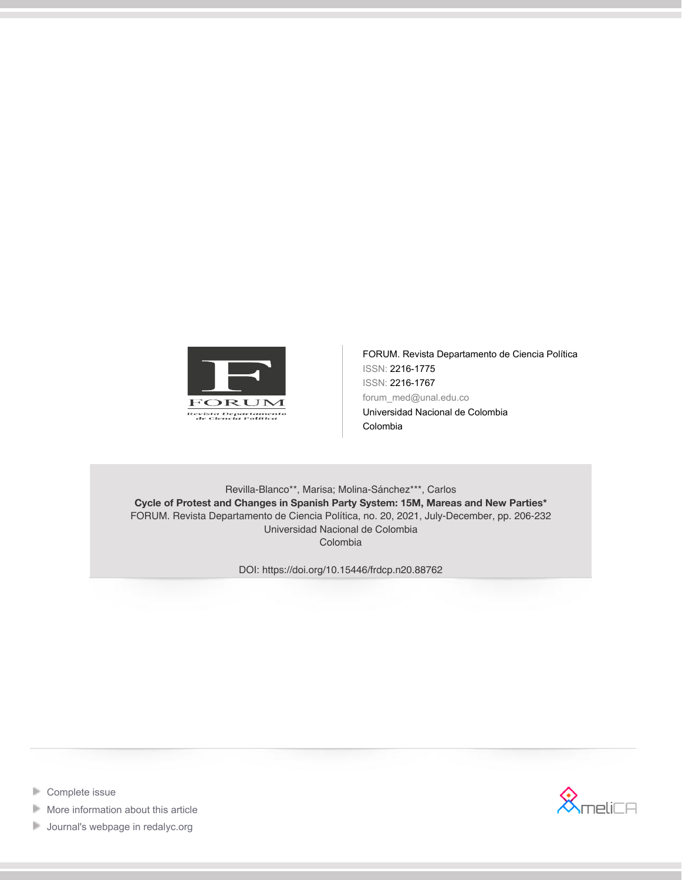

FORUM. Revista Departamento de Ciencia Política ISSN: 2216-1775 ISSN: 2216-1767 forum\_med@unal.edu.co Universidad Nacional de Colombia Colombia

Revilla-Blanco\*\*, Marisa; Molina-Sánchez\*\*\*, Carlos **Cycle of Protest and Changes in Spanish Party System: 15M, Mareas and New Parties\*** FORUM. Revista Departamento de Ciencia Política, no. 20, 2021, July-December, pp. 206-232 Universidad Nacional de Colombia Colombia

DOI: https://doi.org/10.15446/frdcp.n20.88762







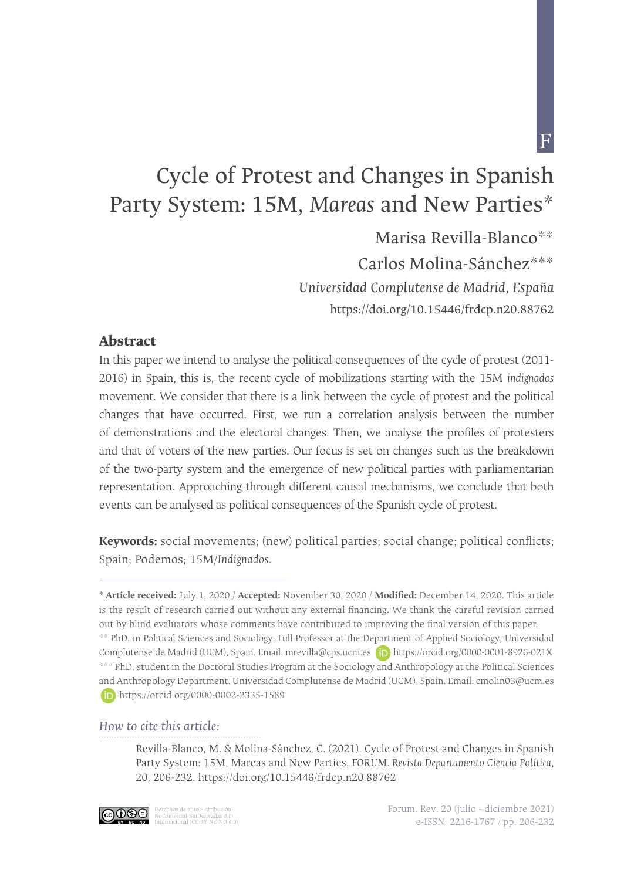$\overline{\mathrm{F}}$ 

# Cycle of Protest and Changes in Spanish Party System: 15M, Mareas and New Parties\*

Marisa Revilla-Blanco $**$ 

Carlos Molina-Sánchez\*\*\*

*Universidad Complutense de Madrid, España* https://doi.org/10.15446/frdcp.n20.88762  $\mathcal{L}$  Marisa Revilla-Blanco - Carlos Molina-Sánchez Molina-Sánchez Molina-Sánchez Molina-Sánchez Molina-Sánchez Molina-Sánchez Molina-Sánchez Molina-Sánchez Molina-Sánchez Molina-Sánchez Molina-Sánchez Molina-Sánchez M

#### **Abstract**

In this paper we intend to analyse the political consequences of the cycle of protest (2011- 2016) in Spain, this is, the recent cycle of mobilizations starting with the 15M *indignados* movement. We consider that there is a link between the cycle of protest and the political changes that have occurred. First, we run a correlation analysis between the number of demonstrations and the electoral changes. Then, we analyse the profiles of protesters and that of voters of the new parties. Our focus is set on changes such as the breakdown of the two-party system and the emergence of new political parties with parliamentarian representation. Approaching through different causal mechanisms, we conclude that both events can be analysed as political consequences of the Spanish cycle of protest.

**Keywords:** social movements; (new) political parties; social change; political conflicts; Spain; Podemos; 15M/*Indignados*.

#### *How to cite this article:*

Revilla-Blanco, M. & Molina-Sánchez, C. (2021). Cycle of Protest and Changes in Spanish Party System: 15M, Mareas and New Parties. *FORUM. Revista Departamento Ciencia Política,*  20, 206-232. https://doi.org/10.15446/frdcp.n20.88762



**<sup>\*</sup> Article received:** July 1, 2020 / **Accepted:** November 30, 2020 / **Modified:** December 14, 2020. This article is the result of research carried out without any external financing. We thank the careful revision carried out by blind evaluators whose comments have contributed to improving the final version of this paper. \*\* PhD. in Political Sciences and Sociology. Full Professor at the Department of Applied Sociology, Universidad Complutense de Madrid (UCM), Spain. Email: mrevilla@cps.ucm.es **(D)** https://orcid.org/0000-0001-8926-021X \*\*\* PhD. student in the Doctoral Studies Program at the Sociology and Anthropology at the Political Sciences and Anthropology Department. Universidad Complutense de Madrid (UCM), Spain. Email: cmolin03@ucm.es https://orcid.org/0000-0002-2335-1589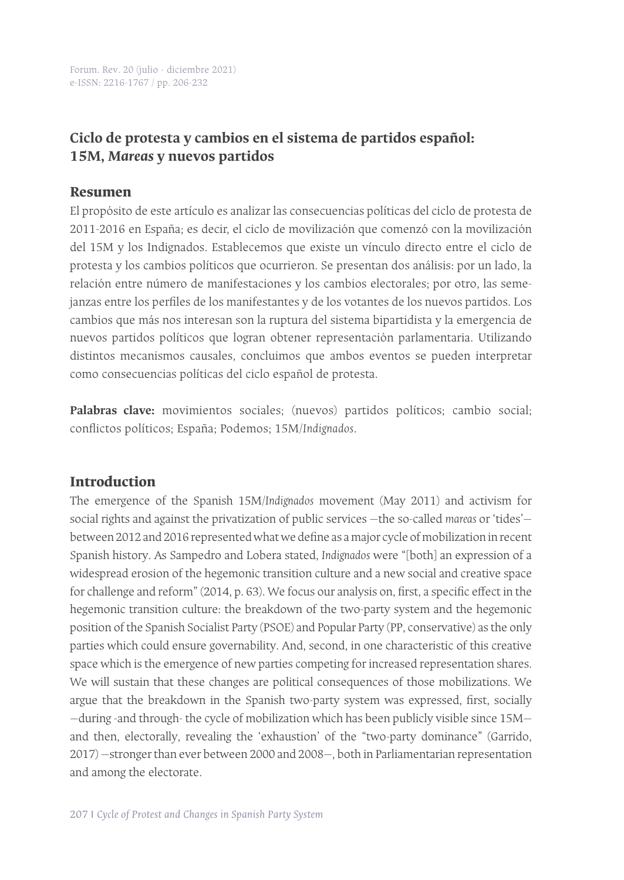Forum. Rev. 20 (julio - diciembre 2021) e-ISSN: 2216-1767 / pp. 206-232

# **Ciclo de protesta y cambios en el sistema de partidos español: 15M,** *Mareas* **y nuevos partidos**

#### **Resumen**

El propósito de este artículo es analizar las consecuencias políticas del ciclo de protesta de 2011-2016 en España; es decir, el ciclo de movilización que comenzó con la movilización del 15M y los Indignados. Establecemos que existe un vínculo directo entre el ciclo de protesta y los cambios políticos que ocurrieron. Se presentan dos análisis: por un lado, la relación entre número de manifestaciones y los cambios electorales; por otro, las semejanzas entre los perfiles de los manifestantes y de los votantes de los nuevos partidos. Los cambios que más nos interesan son la ruptura del sistema bipartidista y la emergencia de nuevos partidos políticos que logran obtener representación parlamentaria. Utilizando distintos mecanismos causales, concluimos que ambos eventos se pueden interpretar como consecuencias políticas del ciclo español de protesta.

**Palabras clave:** movimientos sociales; (nuevos) partidos políticos; cambio social; conflictos políticos; España; Podemos; 15M/*Indignados*.

#### **Introduction**

The emergence of the Spanish 15M/*Indignados* movement (May 2011) and activism for social rights and against the privatization of public services —the so-called *mareas* or 'tides' between 2012 and 2016 represented what we define as a major cycle of mobilization in recent Spanish history. As Sampedro and Lobera stated, *Indignados* were "[both] an expression of a widespread erosion of the hegemonic transition culture and a new social and creative space for challenge and reform" (2014, p. 63). We focus our analysis on, first, a specific effect in the hegemonic transition culture: the breakdown of the two-party system and the hegemonic position of the Spanish Socialist Party (PSOE) and Popular Party (PP, conservative) as the only parties which could ensure governability. And, second, in one characteristic of this creative space which is the emergence of new parties competing for increased representation shares. We will sustain that these changes are political consequences of those mobilizations. We argue that the breakdown in the Spanish two-party system was expressed, first, socially —during -and through- the cycle of mobilization which has been publicly visible since 15M and then, electorally, revealing the 'exhaustion' of the "two-party dominance" (Garrido, 2017) —stronger than ever between 2000 and 2008—, both in Parliamentarian representation and among the electorate.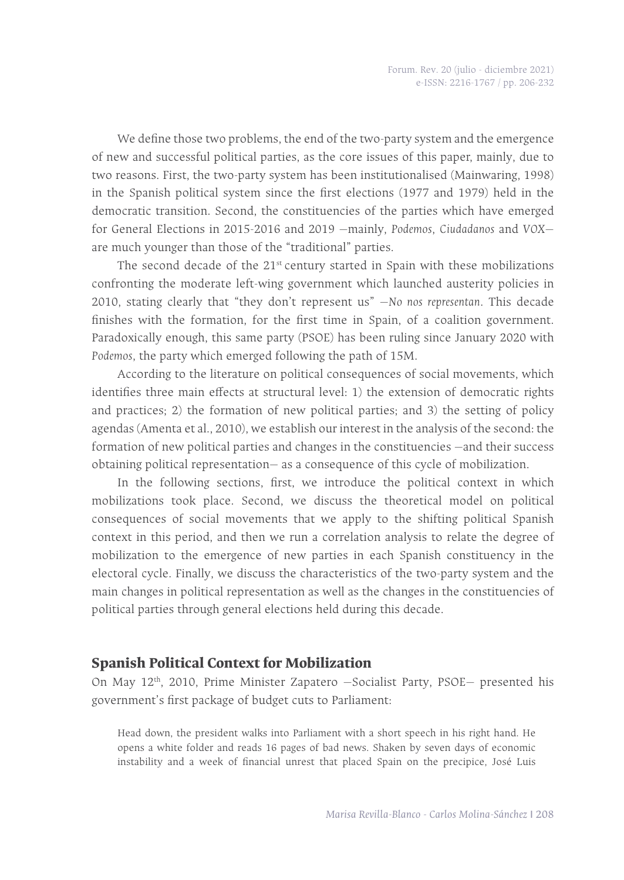We define those two problems, the end of the two-party system and the emergence of new and successful political parties, as the core issues of this paper, mainly, due to two reasons. First, the two-party system has been institutionalised (Mainwaring, 1998) in the Spanish political system since the first elections (1977 and 1979) held in the democratic transition. Second, the constituencies of the parties which have emerged for General Elections in 2015-2016 and 2019 —mainly, *Podemos*, *Ciudadanos* and *VOX* are much younger than those of the "traditional" parties.

The second decade of the 21<sup>st</sup> century started in Spain with these mobilizations confronting the moderate left-wing government which launched austerity policies in 2010, stating clearly that "they don't represent us" —*No nos representan*. This decade finishes with the formation, for the first time in Spain, of a coalition government. Paradoxically enough, this same party (PSOE) has been ruling since January 2020 with *Podemos*, the party which emerged following the path of 15M.

According to the literature on political consequences of social movements, which identifies three main effects at structural level: 1) the extension of democratic rights and practices; 2) the formation of new political parties; and 3) the setting of policy agendas (Amenta et al., 2010), we establish our interest in the analysis of the second: the formation of new political parties and changes in the constituencies —and their success obtaining political representation— as a consequence of this cycle of mobilization.

In the following sections, first, we introduce the political context in which mobilizations took place. Second, we discuss the theoretical model on political consequences of social movements that we apply to the shifting political Spanish context in this period, and then we run a correlation analysis to relate the degree of mobilization to the emergence of new parties in each Spanish constituency in the electoral cycle. Finally, we discuss the characteristics of the two-party system and the main changes in political representation as well as the changes in the constituencies of political parties through general elections held during this decade.

#### **Spanish Political Context for Mobilization**

On May  $12<sup>th</sup>$ , 2010, Prime Minister Zapatero  $-$  Socialist Party, PSOE $-$  presented his government's first package of budget cuts to Parliament:

Head down, the president walks into Parliament with a short speech in his right hand. He opens a white folder and reads 16 pages of bad news. Shaken by seven days of economic instability and a week of financial unrest that placed Spain on the precipice, José Luis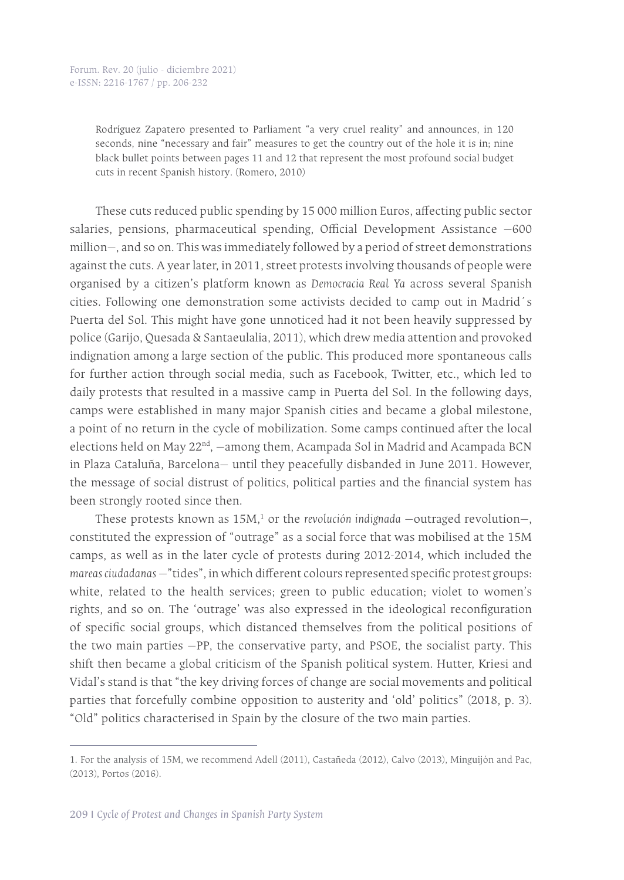Rodríguez Zapatero presented to Parliament "a very cruel reality" and announces, in 120 seconds, nine "necessary and fair" measures to get the country out of the hole it is in; nine black bullet points between pages 11 and 12 that represent the most profound social budget cuts in recent Spanish history. (Romero, 2010)

These cuts reduced public spending by 15 000 million Euros, affecting public sector salaries, pensions, pharmaceutical spending, Official Development Assistance —600 million—, and so on. This was immediately followed by a period of street demonstrations against the cuts. A year later, in 2011, street protests involving thousands of people were organised by a citizen's platform known as *Democracia Real Ya* across several Spanish cities. Following one demonstration some activists decided to camp out in Madrid´s Puerta del Sol. This might have gone unnoticed had it not been heavily suppressed by police (Garijo, Quesada & Santaeulalia, 2011), which drew media attention and provoked indignation among a large section of the public. This produced more spontaneous calls for further action through social media, such as Facebook, Twitter, etc., which led to daily protests that resulted in a massive camp in Puerta del Sol. In the following days, camps were established in many major Spanish cities and became a global milestone, a point of no return in the cycle of mobilization. Some camps continued after the local elections held on May 22<sup>nd</sup>, -among them, Acampada Sol in Madrid and Acampada BCN in Plaza Cataluña, Barcelona— until they peacefully disbanded in June 2011. However, the message of social distrust of politics, political parties and the financial system has been strongly rooted since then.

These protests known as 15M,<sup>1</sup> or the *revolución indignada* -outraged revolution-, constituted the expression of "outrage" as a social force that was mobilised at the 15M camps, as well as in the later cycle of protests during 2012-2014, which included the *mareas ciudadanas* —"tides", in which different colours represented specific protest groups: white, related to the health services; green to public education; violet to women's rights, and so on. The 'outrage' was also expressed in the ideological reconfiguration of specific social groups, which distanced themselves from the political positions of the two main parties —PP, the conservative party, and PSOE, the socialist party. This shift then became a global criticism of the Spanish political system. Hutter, Kriesi and Vidal's stand is that "the key driving forces of change are social movements and political parties that forcefully combine opposition to austerity and 'old' politics" (2018, p. 3). "Old" politics characterised in Spain by the closure of the two main parties.

<sup>1.</sup> For the analysis of 15M, we recommend Adell (2011), Castañeda (2012), Calvo (2013), Minguijón and Pac, (2013), Portos (2016).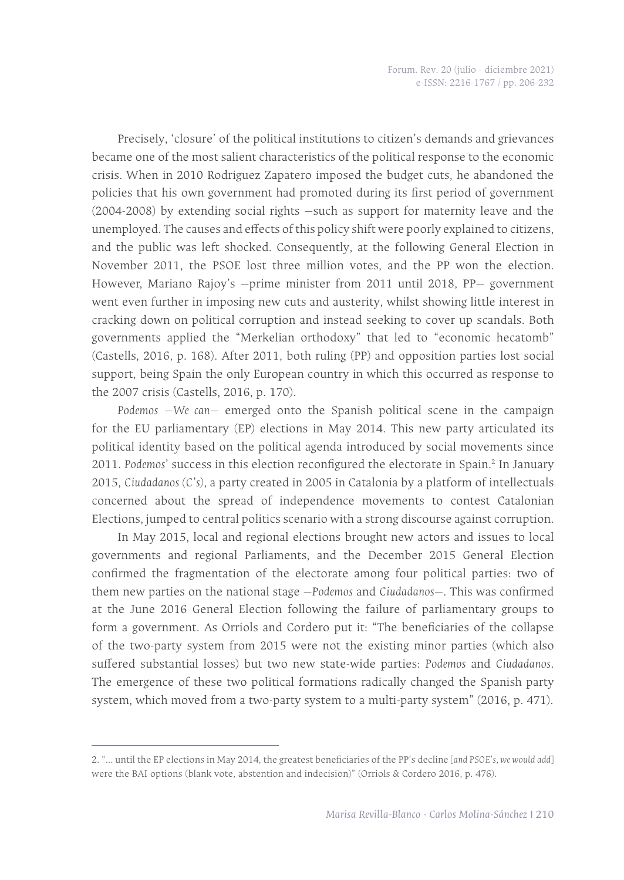Precisely, 'closure' of the political institutions to citizen's demands and grievances became one of the most salient characteristics of the political response to the economic crisis. When in 2010 Rodriguez Zapatero imposed the budget cuts, he abandoned the policies that his own government had promoted during its first period of government (2004-2008) by extending social rights —such as support for maternity leave and the unemployed. The causes and effects of this policy shift were poorly explained to citizens, and the public was left shocked. Consequently, at the following General Election in November 2011, the PSOE lost three million votes, and the PP won the election. However, Mariano Rajoy's —prime minister from 2011 until 2018, PP— government went even further in imposing new cuts and austerity, whilst showing little interest in cracking down on political corruption and instead seeking to cover up scandals. Both governments applied the "Merkelian orthodoxy" that led to "economic hecatomb" (Castells, 2016, p. 168). After 2011, both ruling (PP) and opposition parties lost social support, being Spain the only European country in which this occurred as response to the 2007 crisis (Castells, 2016, p. 170).

*Podemos* —*We can*— emerged onto the Spanish political scene in the campaign for the EU parliamentary (EP) elections in May 2014. This new party articulated its political identity based on the political agenda introduced by social movements since 2011. Podemos' success in this election reconfigured the electorate in Spain.<sup>2</sup> In January 2015, *Ciudadanos (C's)*, a party created in 2005 in Catalonia by a platform of intellectuals concerned about the spread of independence movements to contest Catalonian Elections, jumped to central politics scenario with a strong discourse against corruption.

In May 2015, local and regional elections brought new actors and issues to local governments and regional Parliaments, and the December 2015 General Election confirmed the fragmentation of the electorate among four political parties: two of them new parties on the national stage —*Podemos* and *Ciudadanos*—. This was confirmed at the June 2016 General Election following the failure of parliamentary groups to form a government. As Orriols and Cordero put it: "The beneficiaries of the collapse of the two-party system from 2015 were not the existing minor parties (which also suffered substantial losses) but two new state-wide parties: *Podemos* and *Ciudadanos*. The emergence of these two political formations radically changed the Spanish party system, which moved from a two-party system to a multi-party system" (2016, p. 471).

<sup>2. &</sup>quot;... until the EP elections in May 2014, the greatest beneficiaries of the PP's decline [*and PSOE's, we would add*] were the BAI options (blank vote, abstention and indecision)" (Orriols & Cordero 2016, p. 476).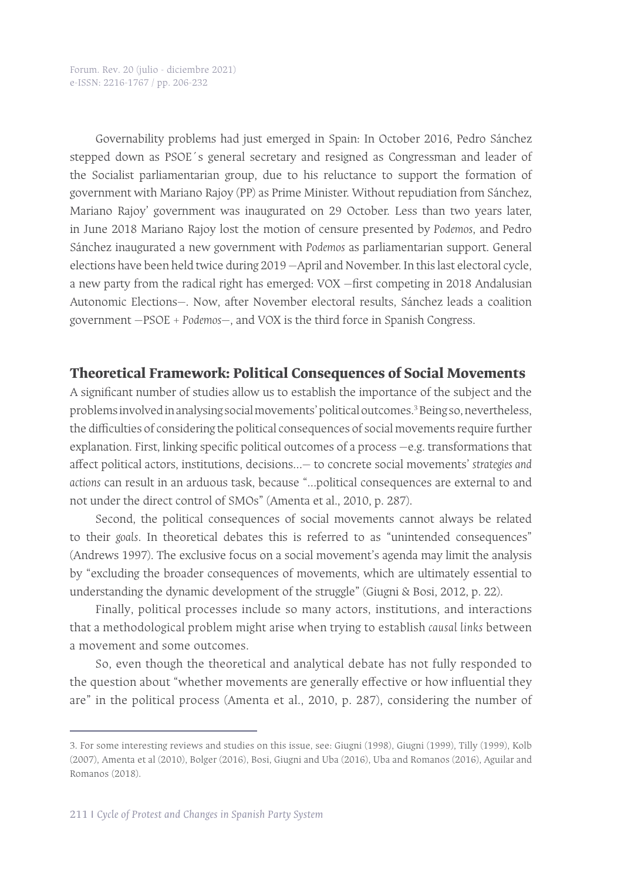Governability problems had just emerged in Spain: In October 2016, Pedro Sánchez stepped down as PSOE´s general secretary and resigned as Congressman and leader of the Socialist parliamentarian group, due to his reluctance to support the formation of government with Mariano Rajoy (PP) as Prime Minister. Without repudiation from Sánchez, Mariano Rajoy' government was inaugurated on 29 October. Less than two years later, in June 2018 Mariano Rajoy lost the motion of censure presented by *Podemos*, and Pedro Sánchez inaugurated a new government with *Podemos* as parliamentarian support. General elections have been held twice during 2019 —April and November. In this last electoral cycle, a new party from the radical right has emerged: VOX —first competing in 2018 Andalusian Autonomic Elections—. Now, after November electoral results, Sánchez leads a coalition government —PSOE + *Podemos*—, and VOX is the third force in Spanish Congress.

#### **Theoretical Framework: Political Consequences of Social Movements**

A significant number of studies allow us to establish the importance of the subject and the problems involved in analysing social movements' political outcomes.<sup>3</sup> Being so, nevertheless, the difficulties of considering the political consequences of social movements require further explanation. First, linking specific political outcomes of a process —e.g. transformations that affect political actors, institutions, decisions…— to concrete social movements' *strategies and actions* can result in an arduous task, because "…political consequences are external to and not under the direct control of SMOs" (Amenta et al., 2010, p. 287).

Second, the political consequences of social movements cannot always be related to their *goals*. In theoretical debates this is referred to as "unintended consequences" (Andrews 1997). The exclusive focus on a social movement's agenda may limit the analysis by "excluding the broader consequences of movements, which are ultimately essential to understanding the dynamic development of the struggle" (Giugni & Bosi, 2012, p. 22).

Finally, political processes include so many actors, institutions, and interactions that a methodological problem might arise when trying to establish *causal links* between a movement and some outcomes.

So, even though the theoretical and analytical debate has not fully responded to the question about "whether movements are generally effective or how influential they are" in the political process (Amenta et al., 2010, p. 287), considering the number of

<sup>3.</sup> For some interesting reviews and studies on this issue, see: Giugni (1998), Giugni (1999), Tilly (1999), Kolb (2007), Amenta et al (2010), Bolger (2016), Bosi, Giugni and Uba (2016), Uba and Romanos (2016), Aguilar and Romanos (2018).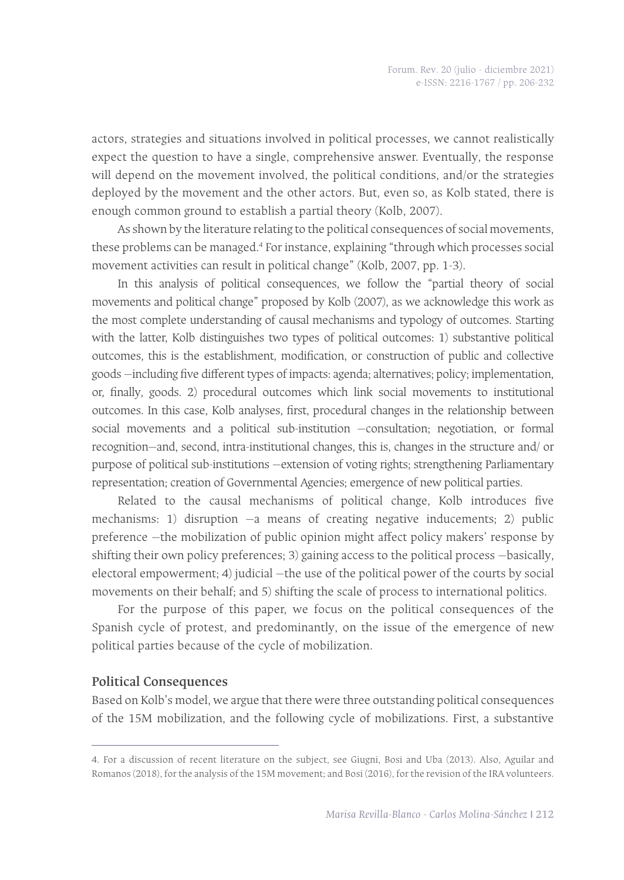actors, strategies and situations involved in political processes, we cannot realistically expect the question to have a single, comprehensive answer. Eventually, the response will depend on the movement involved, the political conditions, and/or the strategies deployed by the movement and the other actors. But, even so, as Kolb stated, there is enough common ground to establish a partial theory (Kolb, 2007).

As shown by the literature relating to the political consequences of social movements, these problems can be managed.<sup>4</sup> For instance, explaining "through which processes social movement activities can result in political change" (Kolb, 2007, pp. 1-3).

In this analysis of political consequences, we follow the "partial theory of social movements and political change" proposed by Kolb (2007), as we acknowledge this work as the most complete understanding of causal mechanisms and typology of outcomes. Starting with the latter, Kolb distinguishes two types of political outcomes: 1) substantive political outcomes, this is the establishment, modification, or construction of public and collective goods —including five different types of impacts: agenda; alternatives; policy; implementation, or, finally, goods. 2) procedural outcomes which link social movements to institutional outcomes. In this case, Kolb analyses, first, procedural changes in the relationship between social movements and a political sub-institution —consultation; negotiation, or formal recognition—and, second, intra-institutional changes, this is, changes in the structure and/ or purpose of political sub-institutions —extension of voting rights; strengthening Parliamentary representation; creation of Governmental Agencies; emergence of new political parties.

Related to the causal mechanisms of political change, Kolb introduces five mechanisms: 1) disruption —a means of creating negative inducements; 2) public preference —the mobilization of public opinion might affect policy makers' response by shifting their own policy preferences; 3) gaining access to the political process —basically, electoral empowerment; 4) judicial —the use of the political power of the courts by social movements on their behalf; and 5) shifting the scale of process to international politics.

For the purpose of this paper, we focus on the political consequences of the Spanish cycle of protest, and predominantly, on the issue of the emergence of new political parties because of the cycle of mobilization.

#### **Political Consequences**

Based on Kolb's model, we argue that there were three outstanding political consequences of the 15M mobilization, and the following cycle of mobilizations. First, a substantive

<sup>4.</sup> For a discussion of recent literature on the subject, see Giugni, Bosi and Uba (2013). Also, Aguilar and Romanos (2018), for the analysis of the 15M movement; and Bosi (2016), for the revision of the IRA volunteers.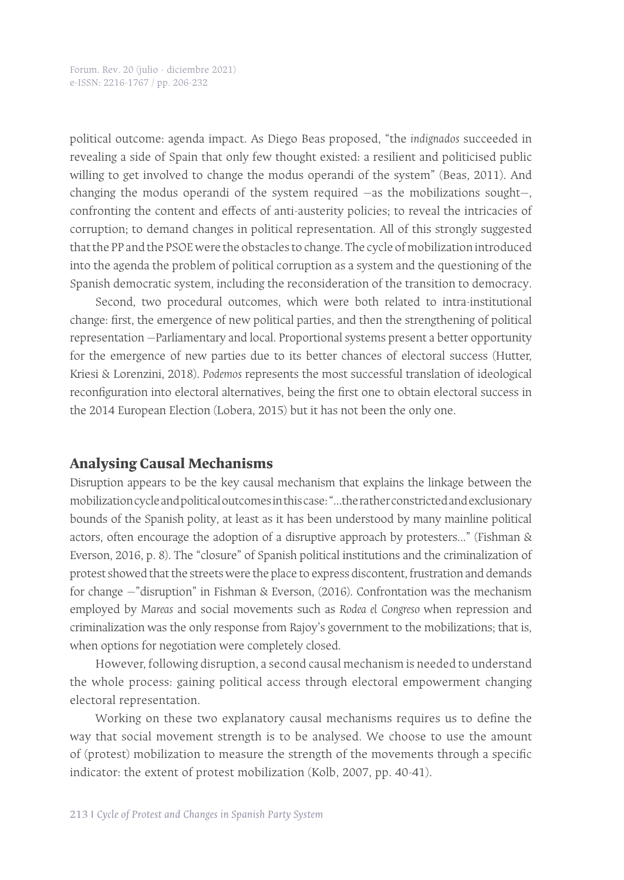political outcome: agenda impact. As Diego Beas proposed, "the *indignados* succeeded in revealing a side of Spain that only few thought existed: a resilient and politicised public willing to get involved to change the modus operandi of the system" (Beas, 2011). And changing the modus operandi of the system required —as the mobilizations sought—, confronting the content and effects of anti-austerity policies; to reveal the intricacies of corruption; to demand changes in political representation. All of this strongly suggested that the PP and the PSOE were the obstacles to change. The cycle of mobilization introduced into the agenda the problem of political corruption as a system and the questioning of the Spanish democratic system, including the reconsideration of the transition to democracy.

Second, two procedural outcomes, which were both related to intra-institutional change: first, the emergence of new political parties, and then the strengthening of political representation —Parliamentary and local. Proportional systems present a better opportunity for the emergence of new parties due to its better chances of electoral success (Hutter, Kriesi & Lorenzini, 2018). *Podemos* represents the most successful translation of ideological reconfiguration into electoral alternatives, being the first one to obtain electoral success in the 2014 European Election (Lobera, 2015) but it has not been the only one.

#### **Analysing Causal Mechanisms**

Disruption appears to be the key causal mechanism that explains the linkage between the mobilization cycle and political outcomes in this case: "...the rather constricted and exclusionary bounds of the Spanish polity, at least as it has been understood by many mainline political actors, often encourage the adoption of a disruptive approach by protesters..." (Fishman & Everson, 2016, p. 8). The "closure" of Spanish political institutions and the criminalization of protest showed that the streets were the place to express discontent, frustration and demands for change —"disruption" in Fishman & Everson, (2016). Confrontation was the mechanism employed by *Mareas* and social movements such as *Rodea el Congreso* when repression and criminalization was the only response from Rajoy's government to the mobilizations; that is, when options for negotiation were completely closed.

However, following disruption, a second causal mechanism is needed to understand the whole process: gaining political access through electoral empowerment changing electoral representation.

Working on these two explanatory causal mechanisms requires us to define the way that social movement strength is to be analysed. We choose to use the amount of (protest) mobilization to measure the strength of the movements through a specific indicator: the extent of protest mobilization (Kolb, 2007, pp. 40-41).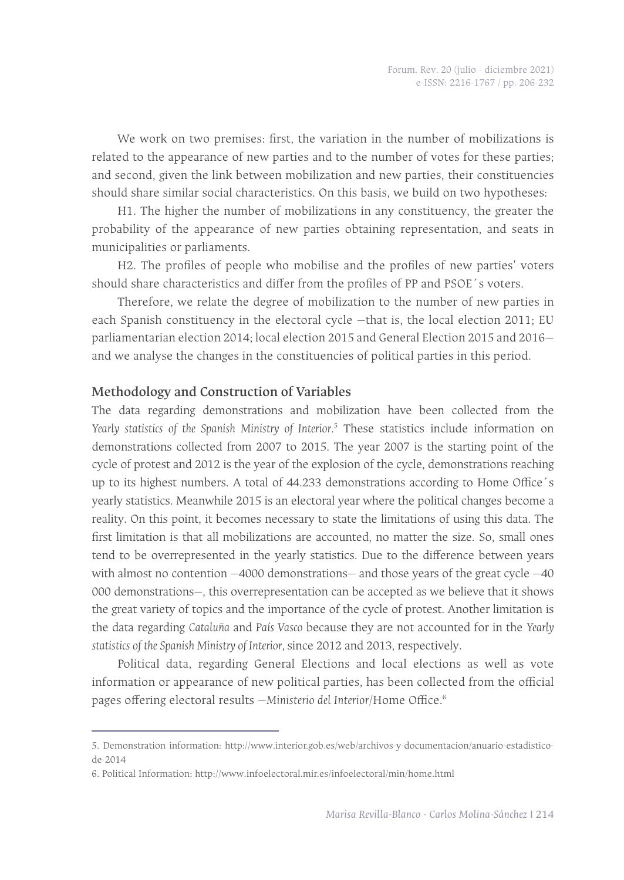We work on two premises: first, the variation in the number of mobilizations is related to the appearance of new parties and to the number of votes for these parties; and second, given the link between mobilization and new parties, their constituencies should share similar social characteristics. On this basis, we build on two hypotheses:

H1. The higher the number of mobilizations in any constituency, the greater the probability of the appearance of new parties obtaining representation, and seats in municipalities or parliaments.

H2. The profiles of people who mobilise and the profiles of new parties' voters should share characteristics and differ from the profiles of PP and PSOE´s voters.

Therefore, we relate the degree of mobilization to the number of new parties in each Spanish constituency in the electoral cycle —that is, the local election 2011; EU parliamentarian election 2014; local election 2015 and General Election 2015 and 2016 and we analyse the changes in the constituencies of political parties in this period.

#### **Methodology and Construction of Variables**

The data regarding demonstrations and mobilization have been collected from the *Yearly statistics of the Spanish Ministry of Interior.*<sup>5</sup> These statistics include information on demonstrations collected from 2007 to 2015. The year 2007 is the starting point of the cycle of protest and 2012 is the year of the explosion of the cycle, demonstrations reaching up to its highest numbers. A total of 44.233 demonstrations according to Home Office´s yearly statistics. Meanwhile 2015 is an electoral year where the political changes become a reality. On this point, it becomes necessary to state the limitations of using this data. The first limitation is that all mobilizations are accounted, no matter the size. So, small ones tend to be overrepresented in the yearly statistics. Due to the difference between years with almost no contention —4000 demonstrations— and those years of the great cycle —40 000 demonstrations—, this overrepresentation can be accepted as we believe that it shows the great variety of topics and the importance of the cycle of protest. Another limitation is the data regarding *Cataluña* and *País Vasco* because they are not accounted for in the *Yearly statistics of the Spanish Ministry of Interior,* since 2012 and 2013, respectively.

Political data, regarding General Elections and local elections as well as vote information or appearance of new political parties, has been collected from the official pages offering electoral results —*Ministerio del Interior*/Home Office.6

<sup>5.</sup> Demonstration information: http://www.interior.gob.es/web/archivos-y-documentacion/anuario-estadisticode-2014

<sup>6.</sup> Political Information: http://www.infoelectoral.mir.es/infoelectoral/min/home.html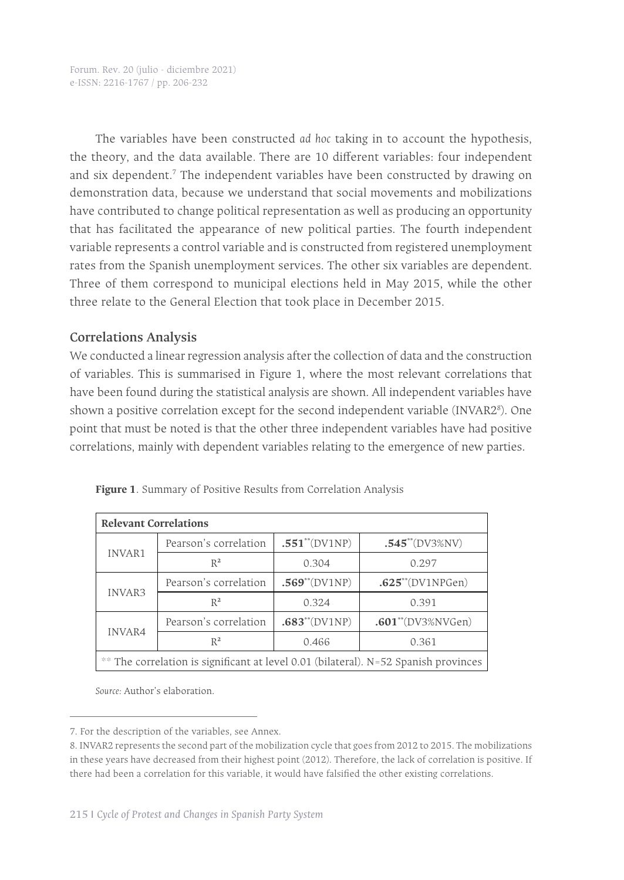The variables have been constructed *ad hoc* taking in to account the hypothesis, the theory, and the data available*.* There are 10 different variables: four independent and six dependent.<sup>7</sup> The independent variables have been constructed by drawing on demonstration data, because we understand that social movements and mobilizations have contributed to change political representation as well as producing an opportunity that has facilitated the appearance of new political parties. The fourth independent variable represents a control variable and is constructed from registered unemployment rates from the Spanish unemployment services. The other six variables are dependent. Three of them correspond to municipal elections held in May 2015, while the other three relate to the General Election that took place in December 2015.

#### **Correlations Analysis**

We conducted a linear regression analysis after the collection of data and the construction of variables. This is summarised in Figure 1, where the most relevant correlations that have been found during the statistical analysis are shown. All independent variables have shown a positive correlation except for the second independent variable (INVAR2<sup>8</sup>). One point that must be noted is that the other three independent variables have had positive correlations, mainly with dependent variables relating to the emergence of new parties.

| <b>Relevant Correlations</b>                                                        |                       |                           |                                |  |  |  |  |
|-------------------------------------------------------------------------------------|-----------------------|---------------------------|--------------------------------|--|--|--|--|
| INVAR1                                                                              | Pearson's correlation | $.551^{**}$ (DV1NP)       | $.545^{\ast\ast}$ (DV3%NV)     |  |  |  |  |
|                                                                                     | $R^2$                 | 0.304                     | 0.297                          |  |  |  |  |
| INVAR3                                                                              | Pearson's correlation | $.569^{\ast\ast}$ (DV1NP) | $.625^{**}$ (DV1NPGen)         |  |  |  |  |
|                                                                                     | $R^2$                 | 0.324                     | 0.391                          |  |  |  |  |
| <b>INVAR4</b>                                                                       | Pearson's correlation | $.683^{\ast\ast}$ (DV1NP) | .601 <sup>**</sup> (DV3%NVGen) |  |  |  |  |
|                                                                                     | $R^2$                 | 0.466                     | 0.361                          |  |  |  |  |
| ** The correlation is significant at level 0.01 (bilateral). N=52 Spanish provinces |                       |                           |                                |  |  |  |  |

**Figure 1**. Summary of Positive Results from Correlation Analysis

*Source:* Author's elaboration.

<sup>7.</sup> For the description of the variables, see Annex.

<sup>8.</sup> INVAR2 represents the second part of the mobilization cycle that goes from 2012 to 2015. The mobilizations in these years have decreased from their highest point (2012). Therefore, the lack of correlation is positive. If there had been a correlation for this variable, it would have falsified the other existing correlations.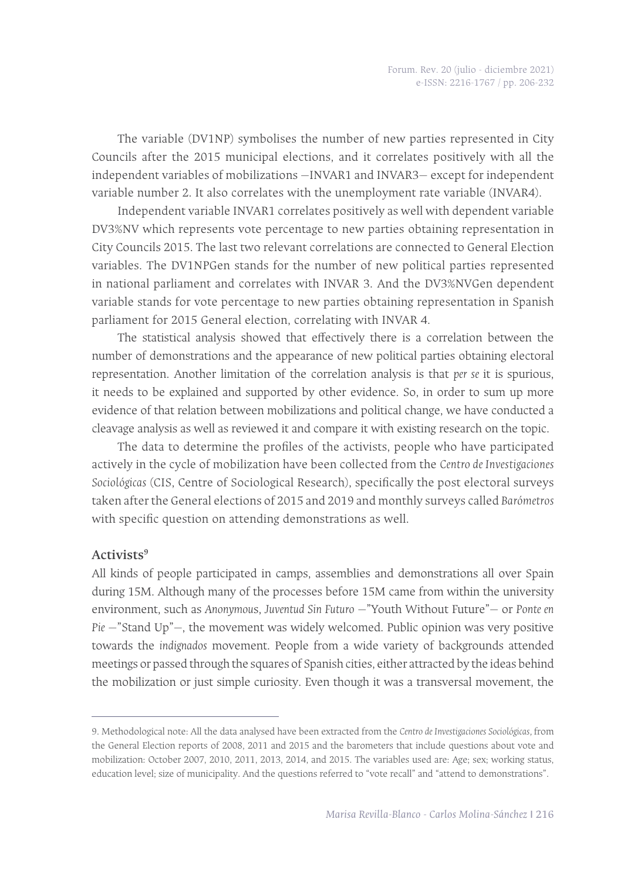The variable (DV1NP) symbolises the number of new parties represented in City Councils after the 2015 municipal elections, and it correlates positively with all the independent variables of mobilizations —INVAR1 and INVAR3— except for independent variable number 2. It also correlates with the unemployment rate variable (INVAR4).

Independent variable INVAR1 correlates positively as well with dependent variable DV3%NV which represents vote percentage to new parties obtaining representation in City Councils 2015. The last two relevant correlations are connected to General Election variables. The DV1NPGen stands for the number of new political parties represented in national parliament and correlates with INVAR 3. And the DV3%NVGen dependent variable stands for vote percentage to new parties obtaining representation in Spanish parliament for 2015 General election, correlating with INVAR 4.

The statistical analysis showed that effectively there is a correlation between the number of demonstrations and the appearance of new political parties obtaining electoral representation. Another limitation of the correlation analysis is that *per se* it is spurious, it needs to be explained and supported by other evidence. So, in order to sum up more evidence of that relation between mobilizations and political change, we have conducted a cleavage analysis as well as reviewed it and compare it with existing research on the topic.

The data to determine the profiles of the activists, people who have participated actively in the cycle of mobilization have been collected from the *Centro de Investigaciones Sociológicas* (CIS, Centre of Sociological Research), specifically the post electoral surveys taken after the General elections of 2015 and 2019 and monthly surveys called *Barómetros*  with specific question on attending demonstrations as well.

#### **Activists9**

All kinds of people participated in camps, assemblies and demonstrations all over Spain during 15M. Although many of the processes before 15M came from within the university environment, such as *Anonymou*s, *Juventud Sin Futuro* —"Youth Without Future"— or *Ponte en Pie* —"Stand Up"—, the movement was widely welcomed. Public opinion was very positive towards the *indignados* movement. People from a wide variety of backgrounds attended meetings or passed through the squares of Spanish cities, either attracted by the ideas behind the mobilization or just simple curiosity. Even though it was a transversal movement, the

<sup>9.</sup> Methodological note: All the data analysed have been extracted from the *Centro de Investigaciones Sociológicas,* from the General Election reports of 2008, 2011 and 2015 and the barometers that include questions about vote and mobilization: October 2007, 2010, 2011, 2013, 2014, and 2015. The variables used are: Age; sex; working status, education level; size of municipality. And the questions referred to "vote recall" and "attend to demonstrations".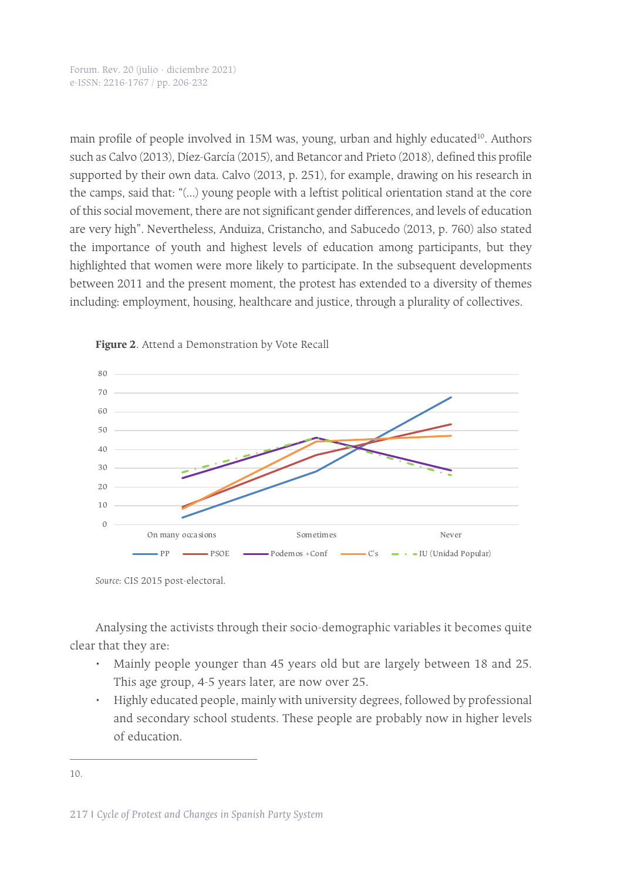Forum. Rev. 20 (julio - diciembre 2021) e-ISSN: 2216-1767 / pp. 206-232

main profile of people involved in 15M was, young, urban and highly educated<sup>10</sup>. Authors such as Calvo (2013), Díez-García (2015), and Betancor and Prieto (2018), defined this profile supported by their own data. Calvo (2013, p. 251), for example, drawing on his research in the camps, said that: "(...) young people with a leftist political orientation stand at the core of this social movement, there are not significant gender differences, and levels of education are very high". Nevertheless, Anduiza, Cristancho, and Sabucedo (2013, p. 760) also stated the importance of youth and highest levels of education among participants, but they highlighted that women were more likely to participate. In the subsequent developments between 2011 and the present moment, the protest has extended to a diversity of themes including: employment, housing, healthcare and justice, through a plurality of collectives.





Analysing the activists through their socio-demographic variables it becomes quite clear that they are:

- Mainly people younger than 45 years old but are largely between 18 and 25. This age group, 4-5 years later, are now over 25.
- Highly educated people, mainly with university degrees, followed by professional and secondary school students. These people are probably now in higher levels of education.

*Source*: CIS 2015 post-electoral.

<sup>10.</sup>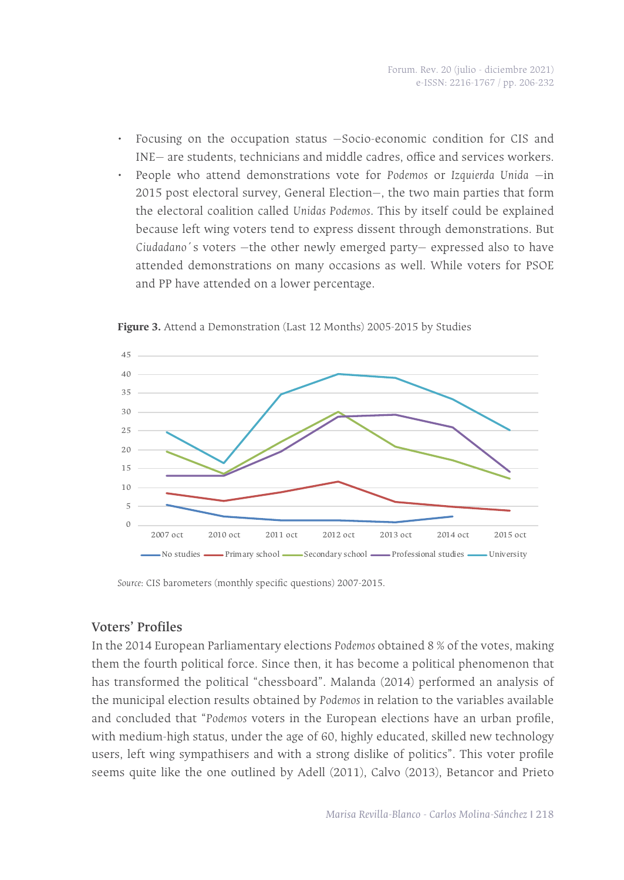- Focusing on the occupation status —Socio-economic condition for CIS and INE— are students, technicians and middle cadres, office and services workers.
- People who attend demonstrations vote for *Podemos* or *Izquierda Unida* —in 2015 post electoral survey, General Election—, the two main parties that form the electoral coalition called *Unidas Podemos*. This by itself could be explained because left wing voters tend to express dissent through demonstrations. But *Ciudadano*´s voters —the other newly emerged party— expressed also to have attended demonstrations on many occasions as well. While voters for PSOE and PP have attended on a lower percentage.



**Figure 3.** Attend a Demonstration (Last 12 Months) 2005-2015 by Studies

*Source*: CIS barometers (monthly specific questions) 2007-2015.

#### **Voters' Profiles**

In the 2014 European Parliamentary elections *Podemos* obtained 8 % of the votes, making them the fourth political force. Since then, it has become a political phenomenon that has transformed the political "chessboard". Malanda (2014) performed an analysis of the municipal election results obtained by *Podemos* in relation to the variables available and concluded that "*Podemos* voters in the European elections have an urban profile, with medium-high status, under the age of 60, highly educated, skilled new technology users, left wing sympathisers and with a strong dislike of politics". This voter profile seems quite like the one outlined by Adell (2011), Calvo (2013), Betancor and Prieto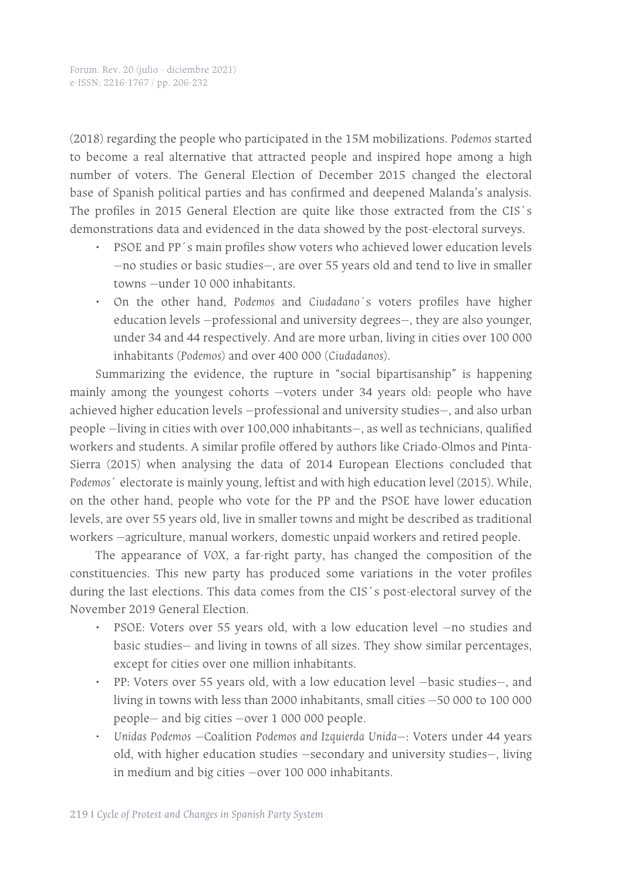(2018) regarding the people who participated in the 15M mobilizations. *Podemos* started to become a real alternative that attracted people and inspired hope among a high number of voters. The General Election of December 2015 changed the electoral base of Spanish political parties and has confirmed and deepened Malanda's analysis. The profiles in 2015 General Election are quite like those extracted from the CIS´s demonstrations data and evidenced in the data showed by the post-electoral surveys.

- PSOE and PP´s main profiles show voters who achieved lower education levels —no studies or basic studies—, are over 55 years old and tend to live in smaller towns —under 10 000 inhabitants.
- On the other hand, *Podemos* and *Ciudadano´*s voters profiles have higher education levels —professional and university degrees—, they are also younger, under 34 and 44 respectively. And are more urban, living in cities over 100 000 inhabitants (*Podemos*) and over 400 000 (*Ciudadanos*).

Summarizing the evidence, the rupture in "social bipartisanship" is happening mainly among the youngest cohorts —voters under 34 years old: people who have achieved higher education levels —professional and university studies—, and also urban people —living in cities with over 100,000 inhabitants—, as well as technicians, qualified workers and students. A similar profile offered by authors like Criado-Olmos and Pinta-Sierra (2015) when analysing the data of 2014 European Elections concluded that *Podemos*´ electorate is mainly young, leftist and with high education level (2015). While, on the other hand, people who vote for the PP and the PSOE have lower education levels, are over 55 years old, live in smaller towns and might be described as traditional workers —agriculture, manual workers, domestic unpaid workers and retired people.

The appearance of *VOX*, a far-right party, has changed the composition of the constituencies. This new party has produced some variations in the voter profiles during the last elections. This data comes from the CIS´s post-electoral survey of the November 2019 General Election.

- PSOE: Voters over 55 years old, with a low education level —no studies and basic studies— and living in towns of all sizes. They show similar percentages, except for cities over one million inhabitants.
- PP: Voters over 55 years old, with a low education level —basic studies—, and living in towns with less than 2000 inhabitants, small cities —50 000 to 100 000 people— and big cities —over 1 000 000 people.
- *• Unidas Podemos* —Coalition *Podemos and Izquierda Unida*—: Voters under 44 years old, with higher education studies —secondary and university studies—, living in medium and big cities —over 100 000 inhabitants.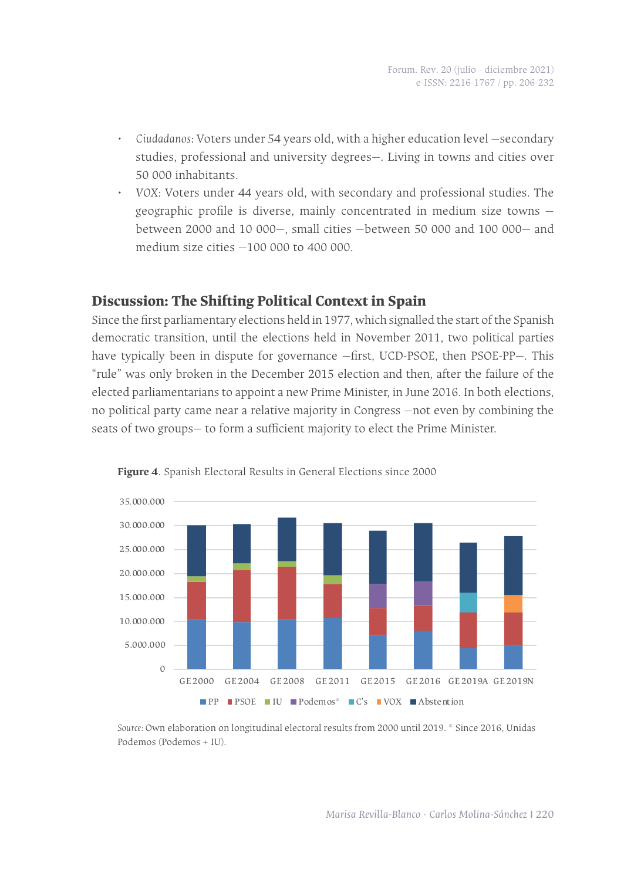- *• Ciudadanos*: Voters under 54 years old, with a higher education level —secondary studies, professional and university degrees—. Living in towns and cities over 50 000 inhabitants.
- *• VOX*: Voters under 44 years old, with secondary and professional studies. The geographic profile is diverse, mainly concentrated in medium size towns between 2000 and 10 000—, small cities —between 50 000 and 100 000— and medium size cities —100 000 to 400 000.

### **Discussion: The Shifting Political Context in Spain**

Since the first parliamentary elections held in 1977, which signalled the start of the Spanish democratic transition, until the elections held in November 2011, two political parties have typically been in dispute for governance —first, UCD-PSOE, then PSOE-PP—. This "rule" was only broken in the December 2015 election and then, after the failure of the elected parliamentarians to appoint a new Prime Minister, in June 2016. In both elections, no political party came near a relative majority in Congress —not even by combining the seats of two groups— to form a sufficient majority to elect the Prime Minister.





*Source:* Own elaboration on longitudinal electoral results from 2000 until 2019. \* Since 2016, Unidas Podemos (Podemos + IU).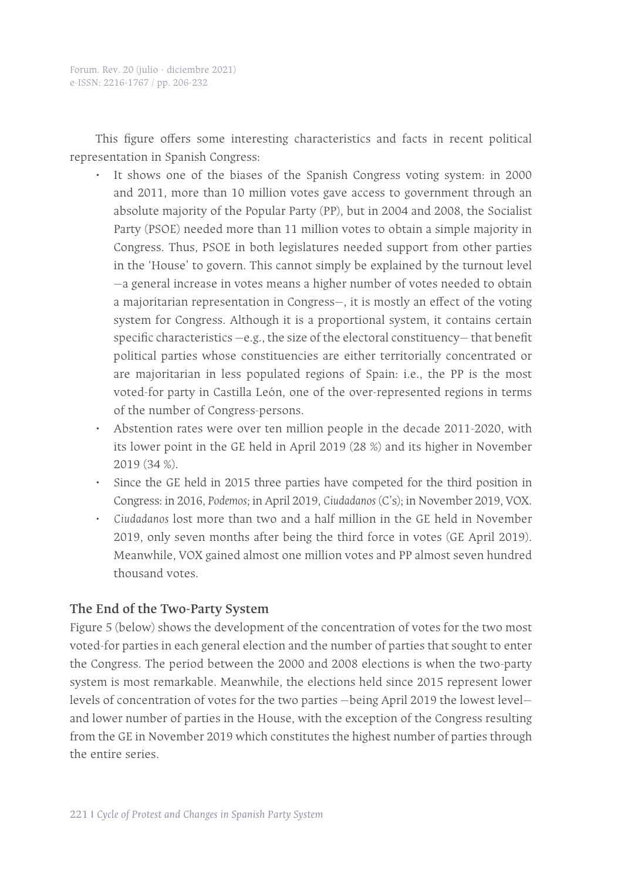This figure offers some interesting characteristics and facts in recent political representation in Spanish Congress:

- It shows one of the biases of the Spanish Congress voting system: in 2000 and 2011, more than 10 million votes gave access to government through an absolute majority of the Popular Party (PP), but in 2004 and 2008, the Socialist Party (PSOE) needed more than 11 million votes to obtain a simple majority in Congress. Thus, PSOE in both legislatures needed support from other parties in the 'House' to govern. This cannot simply be explained by the turnout level —a general increase in votes means a higher number of votes needed to obtain a majoritarian representation in Congress—, it is mostly an effect of the voting system for Congress. Although it is a proportional system, it contains certain specific characteristics —e.g., the size of the electoral constituency— that benefit political parties whose constituencies are either territorially concentrated or are majoritarian in less populated regions of Spain: i.e., the PP is the most voted-for party in Castilla León, one of the over-represented regions in terms of the number of Congress-persons.
- Abstention rates were over ten million people in the decade 2011-2020, with its lower point in the GE held in April 2019 (28 %) and its higher in November 2019 (34 %).
- Since the GE held in 2015 three parties have competed for the third position in Congress: in 2016, *Podemos;* in April 2019, *Ciudadanos* (C's); in November 2019, VOX.
- *• Ciudadanos* lost more than two and a half million in the GE held in November 2019, only seven months after being the third force in votes (GE April 2019). Meanwhile, VOX gained almost one million votes and PP almost seven hundred thousand votes.

#### **The End of the Two-Party System**

Figure 5 (below) shows the development of the concentration of votes for the two most voted-for parties in each general election and the number of parties that sought to enter the Congress. The period between the 2000 and 2008 elections is when the two-party system is most remarkable. Meanwhile, the elections held since 2015 represent lower levels of concentration of votes for the two parties —being April 2019 the lowest level and lower number of parties in the House, with the exception of the Congress resulting from the GE in November 2019 which constitutes the highest number of parties through the entire series.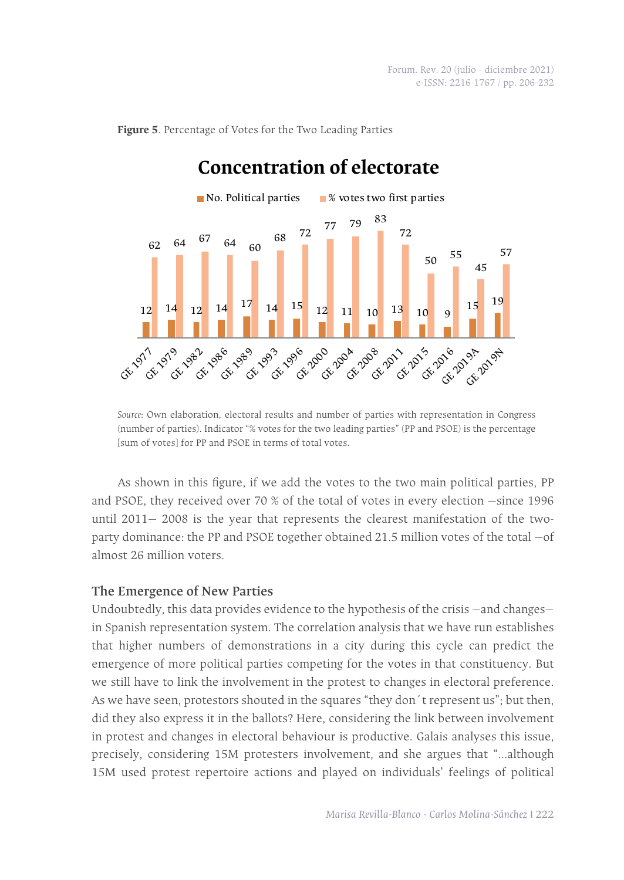

**Figure 5**. Percentage of Votes for the Two Leading Parties

*Source*: Own elaboration, electoral results and number of parties with representation in Congress (number of parties). Indicator "% votes for the two leading parties" (PP and PSOE) is the percentage [sum of votes] for PP and PSOE in terms of total votes.

As shown in this figure, if we add the votes to the two main political parties, PP and PSOE, they received over 70 % of the total of votes in every election —since 1996 until 2011— 2008 is the year that represents the clearest manifestation of the twoparty dominance: the PP and PSOE together obtained 21.5 million votes of the total —of almost 26 million voters.

#### **The Emergence of New Parties**

Undoubtedly, this data provides evidence to the hypothesis of the crisis —and changes in Spanish representation system. The correlation analysis that we have run establishes that higher numbers of demonstrations in a city during this cycle can predict the emergence of more political parties competing for the votes in that constituency. But we still have to link the involvement in the protest to changes in electoral preference. As we have seen, protestors shouted in the squares "they don´t represent us"; but then, did they also express it in the ballots? Here, considering the link between involvement in protest and changes in electoral behaviour is productive. Galais analyses this issue, precisely, considering 15M protesters involvement, and she argues that "…although 15M used protest repertoire actions and played on individuals' feelings of political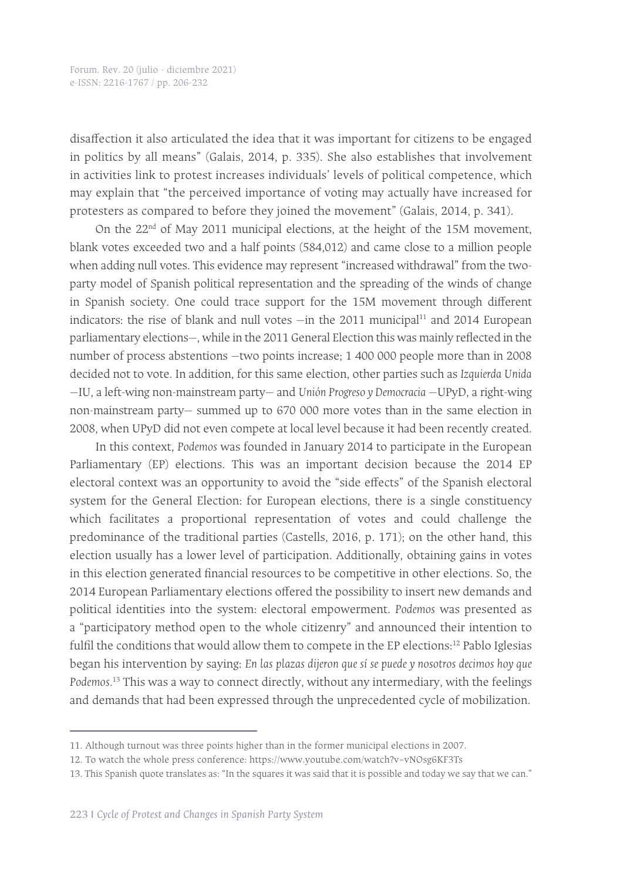disaffection it also articulated the idea that it was important for citizens to be engaged in politics by all means" (Galais, 2014, p. 335). She also establishes that involvement in activities link to protest increases individuals' levels of political competence, which may explain that "the perceived importance of voting may actually have increased for protesters as compared to before they joined the movement" (Galais, 2014, p. 341).

On the  $22<sup>nd</sup>$  of May 2011 municipal elections, at the height of the 15M movement, blank votes exceeded two and a half points (584,012) and came close to a million people when adding null votes. This evidence may represent "increased withdrawal" from the twoparty model of Spanish political representation and the spreading of the winds of change in Spanish society. One could trace support for the 15M movement through different indicators: the rise of blank and null votes  $-$ in the 2011 municipal $11$  and 2014 European parliamentary elections—, while in the 2011 General Election this was mainly reflected in the number of process abstentions —two points increase; 1 400 000 people more than in 2008 decided not to vote. In addition, for this same election, other parties such as *Izquierda Unida* —IU, a left-wing non-mainstream party— and *Unión Progreso y Democracia* —UPyD, a right-wing non-mainstream party— summed up to 670 000 more votes than in the same election in 2008, when UPyD did not even compete at local level because it had been recently created.

In this context, *Podemos* was founded in January 2014 to participate in the European Parliamentary (EP) elections. This was an important decision because the 2014 EP electoral context was an opportunity to avoid the "side effects" of the Spanish electoral system for the General Election: for European elections, there is a single constituency which facilitates a proportional representation of votes and could challenge the predominance of the traditional parties (Castells, 2016, p. 171); on the other hand, this election usually has a lower level of participation. Additionally, obtaining gains in votes in this election generated financial resources to be competitive in other elections. So, the 2014 European Parliamentary elections offered the possibility to insert new demands and political identities into the system: electoral empowerment. *Podemos* was presented as a "participatory method open to the whole citizenry" and announced their intention to fulfil the conditions that would allow them to compete in the EP elections:<sup>12</sup> Pablo Iglesias began his intervention by saying: *En las plazas dijeron que sí se puede y nosotros decimos hoy que Podemos.*13 This was a way to connect directly, without any intermediary, with the feelings and demands that had been expressed through the unprecedented cycle of mobilization.

<sup>11.</sup> Although turnout was three points higher than in the former municipal elections in 2007.

<sup>12.</sup> To watch the whole press conference: https://www.youtube.com/watch?v=vNOsg6KF3Ts

<sup>13.</sup> This Spanish quote translates as: "In the squares it was said that it is possible and today we say that we can."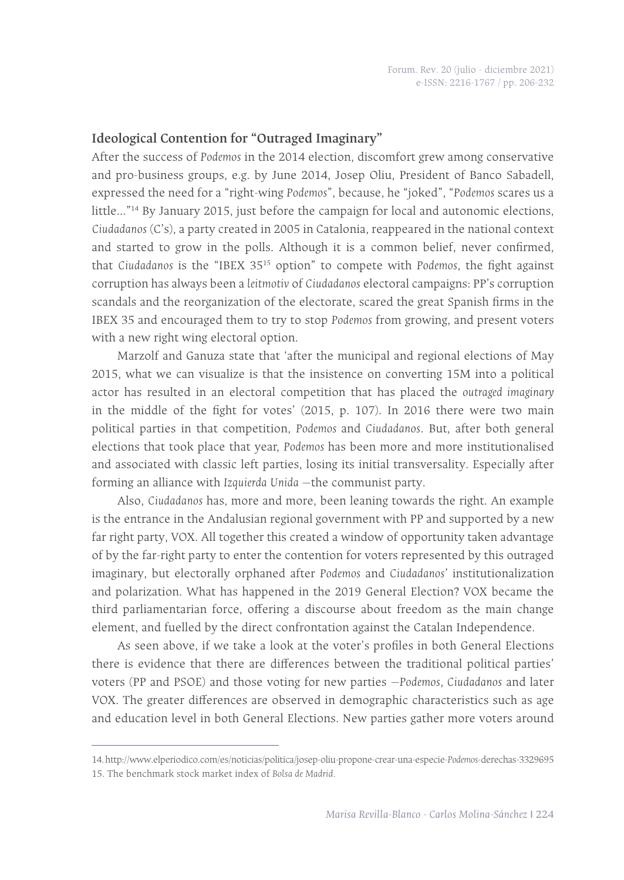#### **Ideological Contention for "Outraged Imaginary"**

After the success of *Podemos* in the 2014 election, discomfort grew among conservative and pro-business groups, e.g. by June 2014, Josep Oliu, President of Banco Sabadell, expressed the need for a "right-wing *Podemos*", because, he "joked", "*Podemos* scares us a little…"14 By January 2015, just before the campaign for local and autonomic elections, *Ciudadanos* (C's), a party created in 2005 in Catalonia, reappeared in the national context and started to grow in the polls. Although it is a common belief, never confirmed, that *Ciudadanos* is the "IBEX 3515 option" to compete with *Podemos*, the fight against corruption has always been a *leitmotiv* of *Ciudadanos* electoral campaigns: PP's corruption scandals and the reorganization of the electorate, scared the great Spanish firms in the IBEX 35 and encouraged them to try to stop *Podemos* from growing, and present voters with a new right wing electoral option.

Marzolf and Ganuza state that 'after the municipal and regional elections of May 2015, what we can visualize is that the insistence on converting 15M into a political actor has resulted in an electoral competition that has placed the *outraged imaginary* in the middle of the fight for votes' (2015, p. 107). In 2016 there were two main political parties in that competition, *Podemos* and *Ciudadanos*. But, after both general elections that took place that year, *Podemos* has been more and more institutionalised and associated with classic left parties, losing its initial transversality. Especially after forming an alliance with *Izquierda Unida* —the communist party.

Also, *Ciudadanos* has, more and more, been leaning towards the right. An example is the entrance in the Andalusian regional government with PP and supported by a new far right party, VOX. All together this created a window of opportunity taken advantage of by the far-right party to enter the contention for voters represented by this outraged imaginary, but electorally orphaned after *Podemos* and *Ciudadanos'* institutionalization and polarization. What has happened in the 2019 General Election? VOX became the third parliamentarian force, offering a discourse about freedom as the main change element, and fuelled by the direct confrontation against the Catalan Independence.

As seen above, if we take a look at the voter's profiles in both General Elections there is evidence that there are differences between the traditional political parties' voters (PP and PSOE) and those voting for new parties —*Podemos, Ciudadanos* and later VOX. The greater differences are observed in demographic characteristics such as age and education level in both General Elections. New parties gather more voters around

<sup>14.</sup> http://www.elperiodico.com/es/noticias/politica/josep-oliu-propone-crear-una-especie-*Podemos*-derechas-3329695 15. The benchmark stock market index of *Bolsa de Madrid.*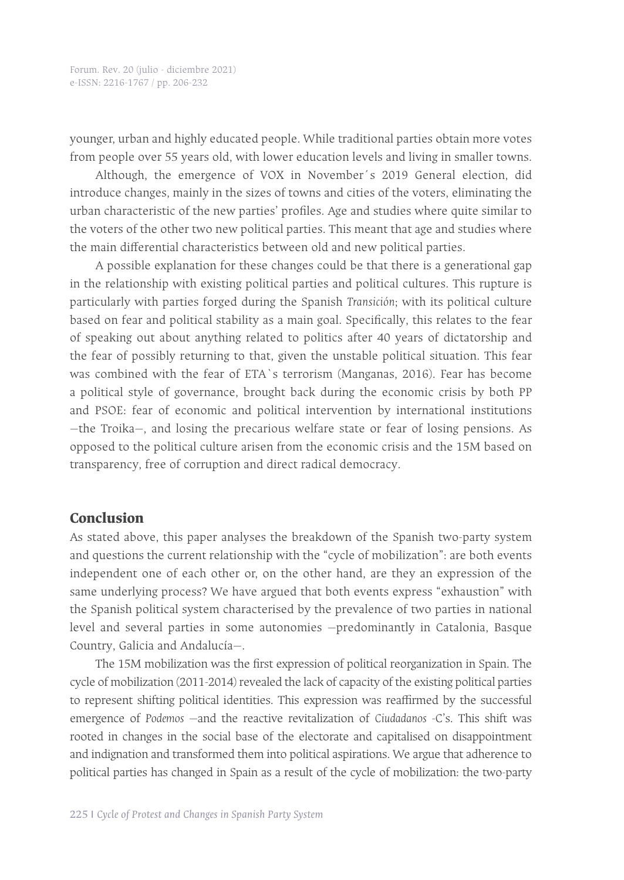younger, urban and highly educated people. While traditional parties obtain more votes from people over 55 years old, with lower education levels and living in smaller towns.

Although, the emergence of VOX in November´s 2019 General election, did introduce changes, mainly in the sizes of towns and cities of the voters, eliminating the urban characteristic of the new parties' profiles. Age and studies where quite similar to the voters of the other two new political parties. This meant that age and studies where the main differential characteristics between old and new political parties.

A possible explanation for these changes could be that there is a generational gap in the relationship with existing political parties and political cultures. This rupture is particularly with parties forged during the Spanish *Transición*; with its political culture based on fear and political stability as a main goal. Specifically, this relates to the fear of speaking out about anything related to politics after 40 years of dictatorship and the fear of possibly returning to that, given the unstable political situation. This fear was combined with the fear of ETA`s terrorism (Manganas, 2016). Fear has become a political style of governance, brought back during the economic crisis by both PP and PSOE: fear of economic and political intervention by international institutions —the Troika—, and losing the precarious welfare state or fear of losing pensions. As opposed to the political culture arisen from the economic crisis and the 15M based on transparency, free of corruption and direct radical democracy.

#### **Conclusion**

As stated above, this paper analyses the breakdown of the Spanish two-party system and questions the current relationship with the "cycle of mobilization": are both events independent one of each other or, on the other hand, are they an expression of the same underlying process? We have argued that both events express "exhaustion" with the Spanish political system characterised by the prevalence of two parties in national level and several parties in some autonomies —predominantly in Catalonia, Basque Country, Galicia and Andalucía—.

The 15M mobilization was the first expression of political reorganization in Spain. The cycle of mobilization (2011-2014) revealed the lack of capacity of the existing political parties to represent shifting political identities. This expression was reaffirmed by the successful emergence of *Podemos* —and the reactive revitalization of *Ciudadanos* -C's. This shift was rooted in changes in the social base of the electorate and capitalised on disappointment and indignation and transformed them into political aspirations. We argue that adherence to political parties has changed in Spain as a result of the cycle of mobilization: the two-party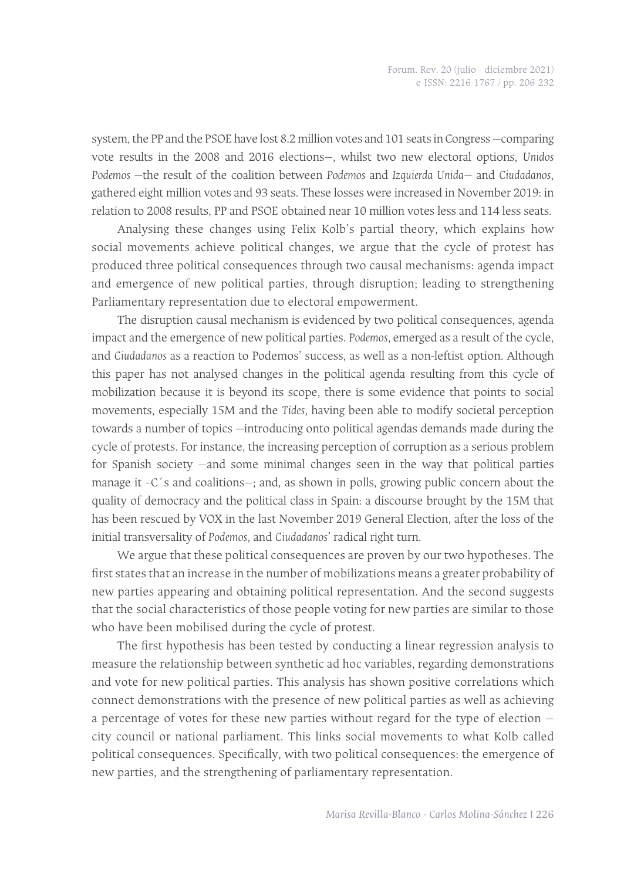system, the PP and the PSOE have lost 8.2 million votes and 101 seats in Congress —comparing vote results in the 2008 and 2016 elections—, whilst two new electoral options, *Unidos Podemos* —the result of the coalition between *Podemos* and *Izquierda Unida—* and *Ciudadanos*, gathered eight million votes and 93 seats. These losses were increased in November 2019: in relation to 2008 results, PP and PSOE obtained near 10 million votes less and 114 less seats.

Analysing these changes using Felix Kolb's partial theory, which explains how social movements achieve political changes, we argue that the cycle of protest has produced three political consequences through two causal mechanisms: agenda impact and emergence of new political parties, through disruption; leading to strengthening Parliamentary representation due to electoral empowerment.

The disruption causal mechanism is evidenced by two political consequences, agenda impact and the emergence of new political parties. *Podemos,* emerged as a result of the cycle, and *Ciudadanos* as a reaction to Podemos' success, as well as a non-leftist option. Although this paper has not analysed changes in the political agenda resulting from this cycle of mobilization because it is beyond its scope, there is some evidence that points to social movements, especially 15M and the *Tides,* having been able to modify societal perception towards a number of topics —introducing onto political agendas demands made during the cycle of protests. For instance, the increasing perception of corruption as a serious problem for Spanish society —and some minimal changes seen in the way that political parties manage it –C´s and coalitions—; and, as shown in polls, growing public concern about the quality of democracy and the political class in Spain: a discourse brought by the 15M that has been rescued by VOX in the last November 2019 General Election, after the loss of the initial transversality of *Podemos*, and *Ciudadanos'* radical right turn.

We argue that these political consequences are proven by our two hypotheses. The first states that an increase in the number of mobilizations means a greater probability of new parties appearing and obtaining political representation. And the second suggests that the social characteristics of those people voting for new parties are similar to those who have been mobilised during the cycle of protest.

The first hypothesis has been tested by conducting a linear regression analysis to measure the relationship between synthetic ad hoc variables, regarding demonstrations and vote for new political parties. This analysis has shown positive correlations which connect demonstrations with the presence of new political parties as well as achieving a percentage of votes for these new parties without regard for the type of election city council or national parliament. This links social movements to what Kolb called political consequences. Specifically, with two political consequences: the emergence of new parties, and the strengthening of parliamentary representation.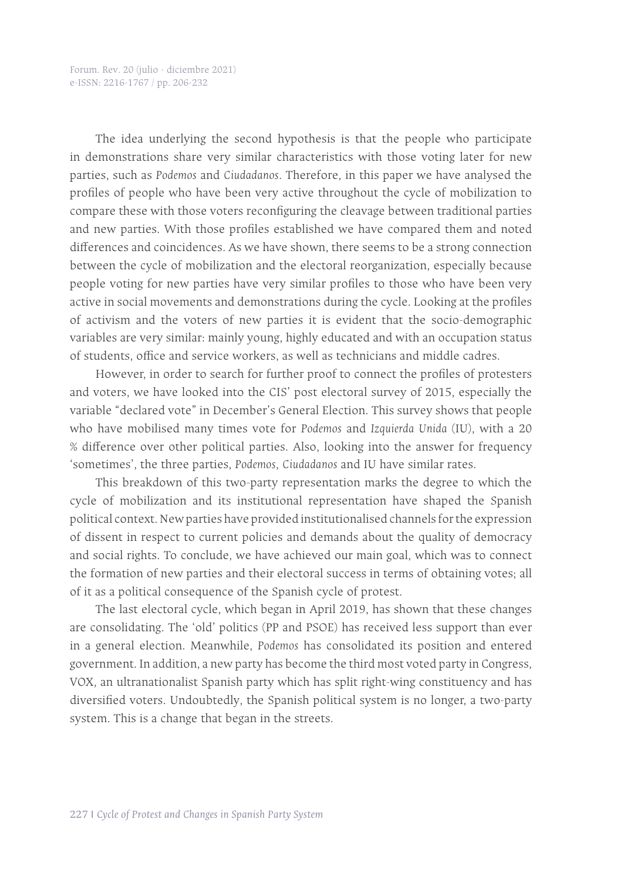The idea underlying the second hypothesis is that the people who participate in demonstrations share very similar characteristics with those voting later for new parties, such as *Podemos* and *Ciudadanos*. Therefore, in this paper we have analysed the profiles of people who have been very active throughout the cycle of mobilization to compare these with those voters reconfiguring the cleavage between traditional parties and new parties. With those profiles established we have compared them and noted differences and coincidences. As we have shown, there seems to be a strong connection between the cycle of mobilization and the electoral reorganization, especially because people voting for new parties have very similar profiles to those who have been very active in social movements and demonstrations during the cycle. Looking at the profiles of activism and the voters of new parties it is evident that the socio-demographic variables are very similar: mainly young, highly educated and with an occupation status of students, office and service workers, as well as technicians and middle cadres.

However, in order to search for further proof to connect the profiles of protesters and voters, we have looked into the CIS' post electoral survey of 2015, especially the variable "declared vote" in December's General Election. This survey shows that people who have mobilised many times vote for *Podemos* and *Izquierda Unida* (IU), with a 20 % difference over other political parties. Also, looking into the answer for frequency 'sometimes', the three parties, *Podemos*, *Ciudadanos* and IU have similar rates.

This breakdown of this two-party representation marks the degree to which the cycle of mobilization and its institutional representation have shaped the Spanish political context. New parties have provided institutionalised channels for the expression of dissent in respect to current policies and demands about the quality of democracy and social rights. To conclude, we have achieved our main goal, which was to connect the formation of new parties and their electoral success in terms of obtaining votes; all of it as a political consequence of the Spanish cycle of protest.

The last electoral cycle, which began in April 2019, has shown that these changes are consolidating. The 'old' politics (PP and PSOE) has received less support than ever in a general election. Meanwhile, *Podemos* has consolidated its position and entered government. In addition, a new party has become the third most voted party in Congress, VOX, an ultranationalist Spanish party which has split right-wing constituency and has diversified voters. Undoubtedly, the Spanish political system is no longer, a two-party system. This is a change that began in the streets.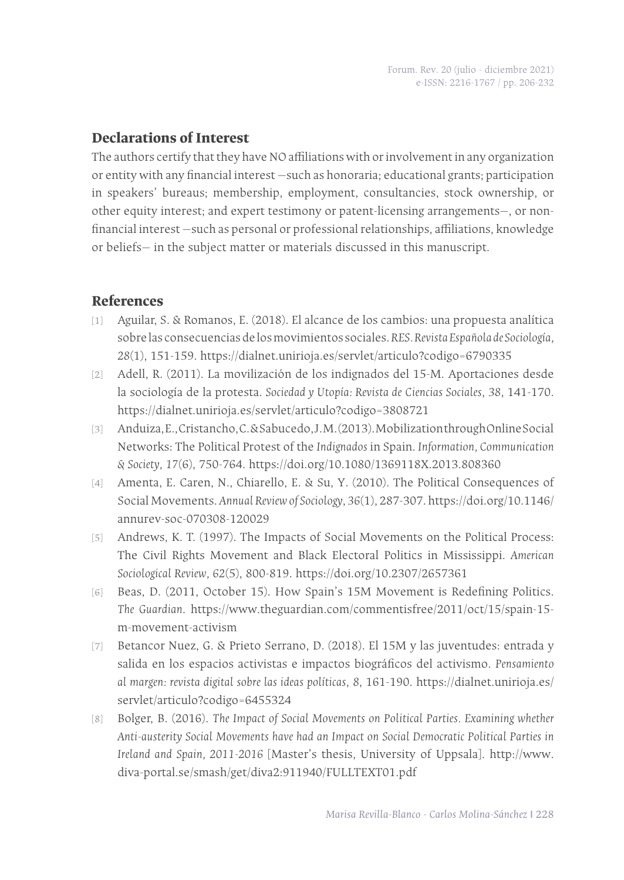# **Declarations of Interest**

The authors certify that they have NO affiliations with or involvement in any organization or entity with any financial interest —such as honoraria; educational grants; participation in speakers' bureaus; membership, employment, consultancies, stock ownership, or other equity interest; and expert testimony or patent-licensing arrangements—, or nonfinancial interest —such as personal or professional relationships, affiliations, knowledge or beliefs— in the subject matter or materials discussed in this manuscript.

## **References**

- [1] Aguilar, S. & Romanos, E. (2018). El alcance de los cambios: una propuesta analítica sobre las consecuencias de los movimientos sociales. *RES. Revista Española de Sociología, 28*(1), 151-159. https://dialnet.unirioja.es/servlet/articulo?codigo=6790335
- [2] Adell, R. (2011). La movilización de los indignados del 15-M. Aportaciones desde la sociología de la protesta. *Sociedad y Utopía: Revista de Ciencias Sociales*, *38*, 141-170. https://dialnet.unirioja.es/servlet/articulo?codigo=3808721
- [3] Anduiza, E., Cristancho, C. & Sabucedo, J. M. (2013). Mobilization through Online Social Networks: The Political Protest of the *Indignados* in Spain. *Information, Communication & Society*, *17*(6), 750-764. https://doi.org/10.1080/1369118X.2013.808360
- [4] Amenta, E. Caren, N., Chiarello, E. & Su, Y. (2010). The Political Consequences of Social Movements. *Annual Review of Sociology*, *36*(1), 287-307. https://doi.org/10.1146/ annurev-soc-070308-120029
- [5] Andrews, K. T. (1997). The Impacts of Social Movements on the Political Process: The Civil Rights Movement and Black Electoral Politics in Mississippi. *American Sociological Review, 62*(5), 800-819. https://doi.org/10.2307/2657361
- [6] Beas, D. (2011, October 15). How Spain's 15M Movement is Redefining Politics. *The Guardian*. https://www.theguardian.com/commentisfree/2011/oct/15/spain-15 m-movement-activism
- [7] Betancor Nuez, G. & Prieto Serrano, D. (2018). El 15M y las juventudes: entrada y salida en los espacios activistas e impactos biográficos del activismo. *Pensamiento al margen: revista digital sobre las ideas políticas*, *8*, 161-190. https://dialnet.unirioja.es/ servlet/articulo?codigo=6455324
- [8] Bolger, B. (2016). *The Impact of Social Movements on Political Parties. Examining whether Anti-austerity Social Movements have had an Impact on Social Democratic Political Parties in Ireland and Spain, 2011-2016* [Master's thesis, University of Uppsala]. http://www. diva-portal.se/smash/get/diva2:911940/FULLTEXT01.pdf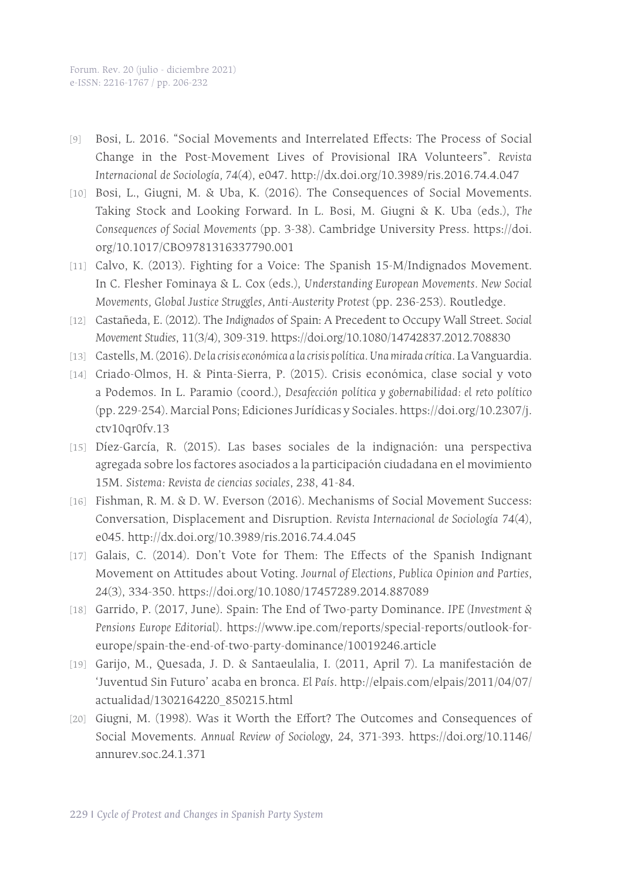- [9] Bosi, L. 2016. "Social Movements and Interrelated Effects: The Process of Social Change in the Post-Movement Lives of Provisional IRA Volunteers". *Revista Internacional de Sociología, 74*(4), e047. http://dx.doi.org/10.3989/ris.2016.74.4.047
- [10] Bosi, L., Giugni, M. & Uba, K. (2016). The Consequences of Social Movements. Taking Stock and Looking Forward. In L. Bosi, M. Giugni & K. Uba (eds.), *The Consequences of Social Movements* (pp. 3-38). Cambridge University Press. https://doi. org/10.1017/CBO9781316337790.001
- [11] Calvo, K. (2013). Fighting for a Voice: The Spanish 15-M/Indignados Movement. In C. Flesher Fominaya & L. Cox (eds.), *Understanding European Movements. New Social Movements, Global Justice Struggles, Anti-Austerity Protest* (pp. 236-253). Routledge.
- [12] Castañeda, E. (2012). The *Indignados* of Spain: A Precedent to Occupy Wall Street. *Social Movement Studies*, 11(3/4), 309-319. https://doi.org/10.1080/14742837.2012.708830
- [13] Castells, M. (2016). *De la crisis económica a la crisis política. Una mirada crítica*. La Vanguardia.
- [14] Criado-Olmos, H. & Pinta-Sierra, P. (2015). Crisis económica, clase social y voto a Podemos. In L. Paramio (coord.), *Desafección política y gobernabilidad: el reto político* (pp. 229-254). Marcial Pons; Ediciones Jurídicas y Sociales. https://doi.org/10.2307/j. ctv10qr0fv.13
- [15] Díez-García, R. (2015). Las bases sociales de la indignación: una perspectiva agregada sobre los factores asociados a la participación ciudadana en el movimiento 15M. *Sistema: Revista de ciencias sociales*, *238*, 41-84.
- [16] Fishman, R. M. & D. W. Everson (2016). Mechanisms of Social Movement Success: Conversation, Displacement and Disruption. *Revista Internacional de Sociología 74*(4), e045. http://dx.doi.org/10.3989/ris.2016.74.4.045
- [17] Galais, C. (2014). Don't Vote for Them: The Effects of the Spanish Indignant Movement on Attitudes about Voting. *Journal of Elections, Publica Opinion and Parties*, *24*(3), 334-350. https://doi.org/10.1080/17457289.2014.887089
- [18] Garrido, P. (2017, June). Spain: The End of Two-party Dominance. *IPE (Investment & Pensions Europe Editorial)*. https://www.ipe.com/reports/special-reports/outlook-foreurope/spain-the-end-of-two-party-dominance/10019246.article
- [19] Garijo, M., Quesada, J. D. & Santaeulalia, I. (2011, April 7). La manifestación de 'Juventud Sin Futuro' acaba en bronca. *El País*. http://elpais.com/elpais/2011/04/07/ actualidad/1302164220\_850215.html
- [20] Giugni, M. (1998). Was it Worth the Effort? The Outcomes and Consequences of Social Movements. *Annual Review of Sociology*, *24*, 371-393. https://doi.org/10.1146/ annurev.soc.24.1.371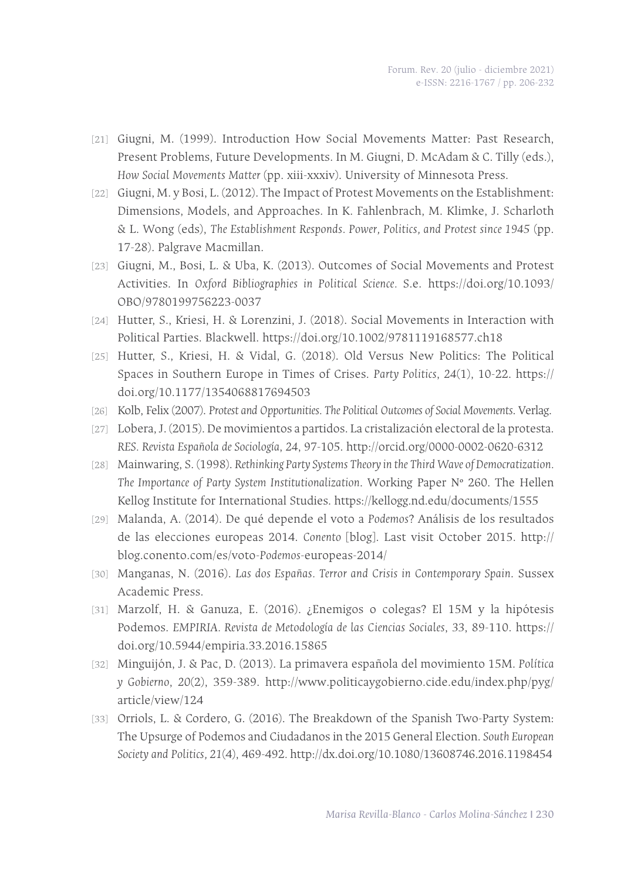- [21] Giugni, M. (1999). Introduction How Social Movements Matter: Past Research, Present Problems, Future Developments. In M. Giugni, D. McAdam & C. Tilly (eds.), *How Social Movements Matter* (pp. xiii-xxxiv). University of Minnesota Press.
- [22] Giugni, M. y Bosi, L. (2012). The Impact of Protest Movements on the Establishment: Dimensions, Models, and Approaches. In K. Fahlenbrach, M. Klimke, J. Scharloth & L. Wong (eds), *The Establishment Responds. Power, Politics, and Protest since 1945* (pp. 17-28). Palgrave Macmillan.
- [23] Giugni, M., Bosi, L. & Uba, K. (2013). Outcomes of Social Movements and Protest Activities. In *Oxford Bibliographies in Political Science.* S.e. https://doi.org/10.1093/ OBO/9780199756223-0037
- [24] Hutter, S., Kriesi, H. & Lorenzini, J. (2018). Social Movements in Interaction with Political Parties. Blackwell. https://doi.org/10.1002/9781119168577.ch18
- [25] Hutter, S., Kriesi, H. & Vidal, G. (2018). Old Versus New Politics: The Political Spaces in Southern Europe in Times of Crises. *Party Politics*, *24*(1), 10-22. https:// doi.org/10.1177/1354068817694503
- [26] Kolb, Felix (2007). Protest and Opportunities. The Political Outcomes of Social Movements. Verlag.
- [27] Lobera, J. (2015). De movimientos a partidos. La cristalización electoral de la protesta. *RES. Revista Española de Sociología*, *24*, 97-105. http://orcid.org/0000-0002-0620-6312
- [28] Mainwaring, S. (1998). *Rethinking Party Systems Theory in the Third Wave of Democratization. The Importance of Party System Institutionalization*. Working Paper Nº 260. The Hellen Kellog Institute for International Studies. https://kellogg.nd.edu/documents/1555
- [29] Malanda, A. (2014). De qué depende el voto a *Podemos*? Análisis de los resultados de las elecciones europeas 2014. *Conento* [blog]. Last visit October 2015. http:// blog.conento.com/es/voto-*Podemos*-europeas-2014/
- [30] Manganas, N. (2016). *Las dos Españas. Terror and Crisis in Contemporary Spain*. Sussex Academic Press.
- [31] Marzolf, H. & Ganuza, E. (2016). ¿Enemigos o colegas? El 15M y la hipótesis Podemos. *EMPIRIA. Revista de Metodología de las Ciencias Sociales*, *33*, 89-110. https:// doi.org/10.5944/empiria.33.2016.15865
- [32] Minguijón, J. & Pac, D. (2013). La primavera española del movimiento 15M. *Política y Gobierno*, *20*(2), 359-389. http://www.politicaygobierno.cide.edu/index.php/pyg/ article/view/124
- [33] Orriols, L. & Cordero, G. (2016). The Breakdown of the Spanish Two-Party System: The Upsurge of Podemos and Ciudadanos in the 2015 General Election. *South European Society and Politics, 21*(4), 469-492*.* http://dx.doi.org/10.1080/13608746.2016.1198454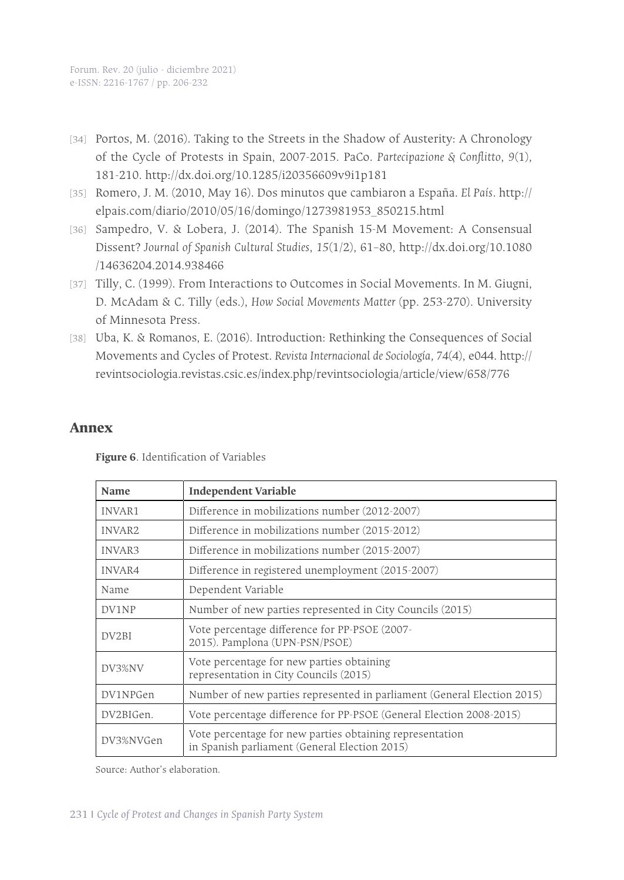- [34] Portos, M. (2016). Taking to the Streets in the Shadow of Austerity: A Chronology of the Cycle of Protests in Spain, 2007-2015. PaCo. *Partecipazione & Conflitto*, *9*(1), 181-210. http://dx.doi.org/10.1285/i20356609v9i1p181
- [35] Romero, J. M. (2010, May 16). Dos minutos que cambiaron a España. *El País*. http:// elpais.com/diario/2010/05/16/domingo/1273981953\_850215.html
- [36] Sampedro, V. & Lobera, J. (2014). The Spanish 15-M Movement: A Consensual Dissent? *Journal of Spanish Cultural Studies*, *15*(1/2), 61–80, http://dx.doi.org/10.1080 /14636204.2014.938466
- [37] Tilly, C. (1999). From Interactions to Outcomes in Social Movements. In M. Giugni, D. McAdam & C. Tilly (eds.), *How Social Movements Matter* (pp. 253-270)*.* University of Minnesota Press.
- [38] Uba, K. & Romanos, E. (2016). Introduction: Rethinking the Consequences of Social Movements and Cycles of Protest. *Revista Internacional de Sociología, 74*(4), e044. http:// revintsociologia.revistas.csic.es/index.php/revintsociologia/article/view/658/776

#### **Annex**

**Figure 6**. Identification of Variables

| <b>Name</b>        | <b>Independent Variable</b>                                                                               |  |  |  |  |
|--------------------|-----------------------------------------------------------------------------------------------------------|--|--|--|--|
| INVAR1             | Difference in mobilizations number (2012-2007)                                                            |  |  |  |  |
| INVAR <sub>2</sub> | Difference in mobilizations number (2015-2012)                                                            |  |  |  |  |
| INVAR3             | Difference in mobilizations number (2015-2007)                                                            |  |  |  |  |
| INVAR4             | Difference in registered unemployment (2015-2007)                                                         |  |  |  |  |
| Name               | Dependent Variable                                                                                        |  |  |  |  |
| DV1NP              | Number of new parties represented in City Councils (2015)                                                 |  |  |  |  |
| DV <sub>2</sub> BI | Vote percentage difference for PP-PSOE (2007-<br>2015). Pamplona (UPN-PSN/PSOE)                           |  |  |  |  |
| DV3%NV             | Vote percentage for new parties obtaining<br>representation in City Councils (2015)                       |  |  |  |  |
| DV1NPGen           | Number of new parties represented in parliament (General Election 2015)                                   |  |  |  |  |
| DV2BIGen.          | Vote percentage difference for PP-PSOE (General Election 2008-2015)                                       |  |  |  |  |
| DV3%NVGen          | Vote percentage for new parties obtaining representation<br>in Spanish parliament (General Election 2015) |  |  |  |  |

Source: Author's elaboration.